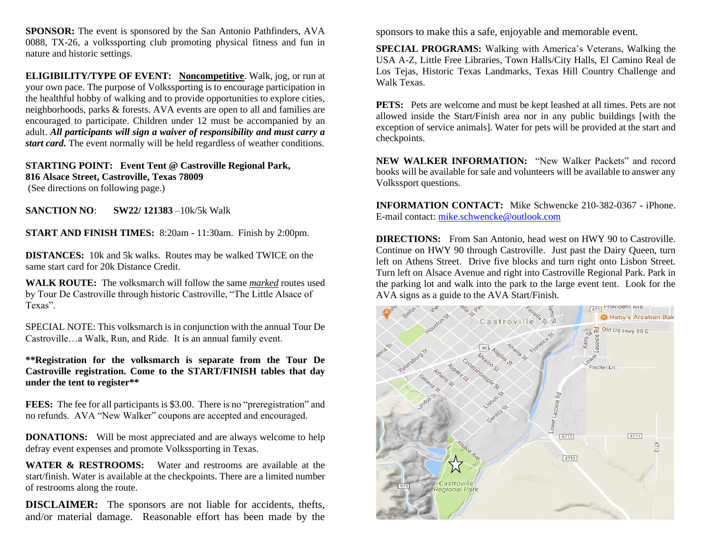**SPONSOR:** The event is sponsored by the San Antonio Pathfinders, AVA 0088, TX-26, a volkssporting club promoting physical fitness and fun in nature and historic settings.

**ELIGIBILITY/TYPE OF EVENT: Noncompetitive**. Walk, jog, or run at your own pace. The purpose of Volkssporting is to encourage participation in the healthful hobby of walking and to provide opportunities to explore cities, neighborhoods, parks & forests. AVA events are open to all and families are encouraged to participate. Children under 12 must be accompanied by an adult. *All participants will sign a waiver of responsibility and must carry a start card.* The event normally will be held regardless of weather conditions.

## **STARTING POINT: Event Tent @ Castroville Regional Park, 816 Alsace Street, Castroville, Texas 78009** (See directions on following page.)

**SANCTION NO**: **SW22/ 121383** –10k/5k Walk

**START AND FINISH TIMES:** 8:20am - 11:30am. Finish by 2:00pm.

**DISTANCES:** 10k and 5k walks. Routes may be walked TWICE on the same start card for 20k Distance Credit.

**WALK ROUTE:** The volksmarch will follow the same *marked* routes used by Tour De Castroville through historic Castroville, "The Little Alsace of Texas".

SPECIAL NOTE: This volksmarch is in conjunction with the annual Tour De Castroville…a Walk, Run, and Ride. It is an annual family event.

**\*\*Registration for the volksmarch is separate from the Tour De Castroville registration. Come to the START/FINISH tables that day under the tent to register\*\***

**FEES:** The fee for all participants is \$3.00. There is no "preregistration" and no refunds. AVA "New Walker" coupons are accepted and encouraged.

**DONATIONS:** Will be most appreciated and are always welcome to help defray event expenses and promote Volkssporting in Texas.

**WATER & RESTROOMS:** Water and restrooms are available at the start/finish. Water is available at the checkpoints. There are a limited number of restrooms along the route.

**DISCLAIMER:** The sponsors are not liable for accidents, thefts, and/or material damage. Reasonable effort has been made by the sponsors to make this a safe, enjoyable and memorable event.

**SPECIAL PROGRAMS:** Walking with America's Veterans, Walking the USA A-Z, Little Free Libraries, Town Halls/City Halls, El Camino Real de Los Tejas, Historic Texas Landmarks, Texas Hill Country Challenge and Walk Texas.

**PETS:** Pets are welcome and must be kept leashed at all times. Pets are not allowed inside the Start/Finish area nor in any public buildings [with the exception of service animals]. Water for pets will be provided at the start and checkpoints.

**NEW WALKER INFORMATION:** "New Walker Packets" and record books will be available for sale and volunteers will be available to answer any Volkssport questions.

**INFORMATION CONTACT:** Mike Schwencke 210-382-0367 - iPhone. E-mail contact: [mike.schwencke@outlook.com](mailto:mike.schwencke@outlook.com)

**DIRECTIONS:** From San Antonio, head west on HWY 90 to Castroville. Continue on HWY 90 through Castroville. Just past the Dairy Queen, turn left on Athens Street. Drive five blocks and turn right onto Lisbon Street. Turn left on Alsace Avenue and right into Castroville Regional Park. Park in the parking lot and walk into the park to the large event tent. Look for the AVA signs as a guide to the AVA Start/Finish.